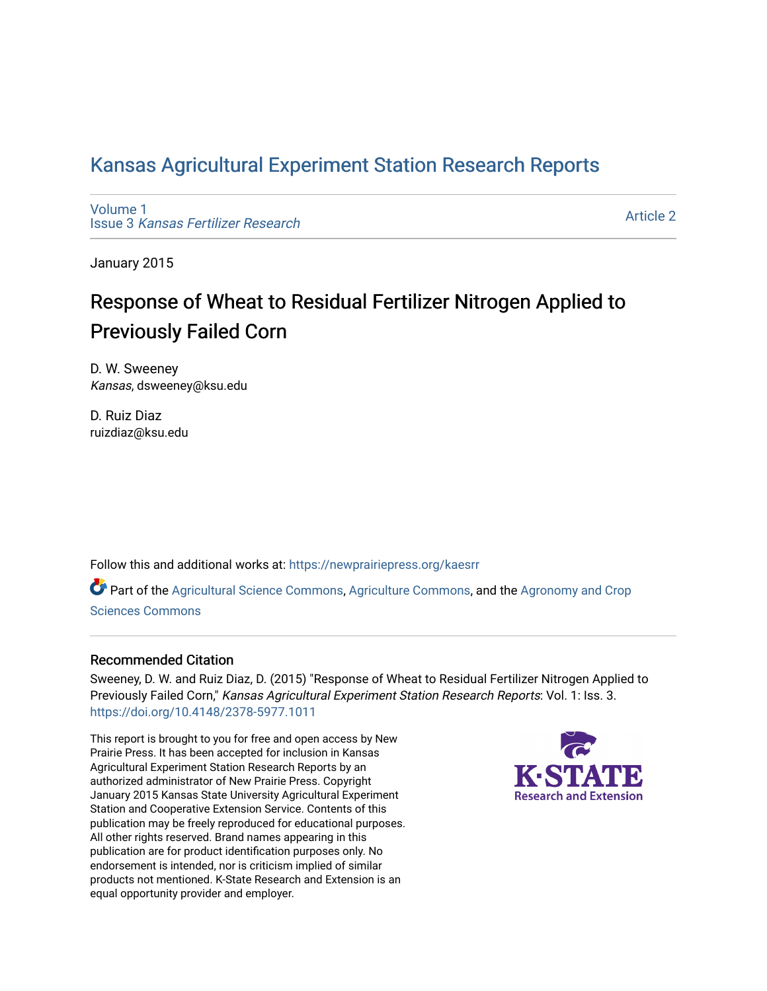## [Kansas Agricultural Experiment Station Research Reports](https://newprairiepress.org/kaesrr)

[Volume 1](https://newprairiepress.org/kaesrr/vol1) Issue 3 [Kansas Fertilizer Research](https://newprairiepress.org/kaesrr/vol1/iss3)

[Article 2](https://newprairiepress.org/kaesrr/vol1/iss3/2) 

January 2015

# Response of Wheat to Residual Fertilizer Nitrogen Applied to Previously Failed Corn

D. W. Sweeney Kansas, dsweeney@ksu.edu

D. Ruiz Diaz ruizdiaz@ksu.edu

Follow this and additional works at: [https://newprairiepress.org/kaesrr](https://newprairiepress.org/kaesrr?utm_source=newprairiepress.org%2Fkaesrr%2Fvol1%2Fiss3%2F2&utm_medium=PDF&utm_campaign=PDFCoverPages) 

Part of the [Agricultural Science Commons](http://network.bepress.com/hgg/discipline/1063?utm_source=newprairiepress.org%2Fkaesrr%2Fvol1%2Fiss3%2F2&utm_medium=PDF&utm_campaign=PDFCoverPages), [Agriculture Commons,](http://network.bepress.com/hgg/discipline/1076?utm_source=newprairiepress.org%2Fkaesrr%2Fvol1%2Fiss3%2F2&utm_medium=PDF&utm_campaign=PDFCoverPages) and the [Agronomy and Crop](http://network.bepress.com/hgg/discipline/103?utm_source=newprairiepress.org%2Fkaesrr%2Fvol1%2Fiss3%2F2&utm_medium=PDF&utm_campaign=PDFCoverPages) [Sciences Commons](http://network.bepress.com/hgg/discipline/103?utm_source=newprairiepress.org%2Fkaesrr%2Fvol1%2Fiss3%2F2&utm_medium=PDF&utm_campaign=PDFCoverPages) 

#### Recommended Citation

Sweeney, D. W. and Ruiz Diaz, D. (2015) "Response of Wheat to Residual Fertilizer Nitrogen Applied to Previously Failed Corn," Kansas Agricultural Experiment Station Research Reports: Vol. 1: Iss. 3. <https://doi.org/10.4148/2378-5977.1011>

This report is brought to you for free and open access by New Prairie Press. It has been accepted for inclusion in Kansas Agricultural Experiment Station Research Reports by an authorized administrator of New Prairie Press. Copyright January 2015 Kansas State University Agricultural Experiment Station and Cooperative Extension Service. Contents of this publication may be freely reproduced for educational purposes. All other rights reserved. Brand names appearing in this publication are for product identification purposes only. No endorsement is intended, nor is criticism implied of similar products not mentioned. K-State Research and Extension is an equal opportunity provider and employer.

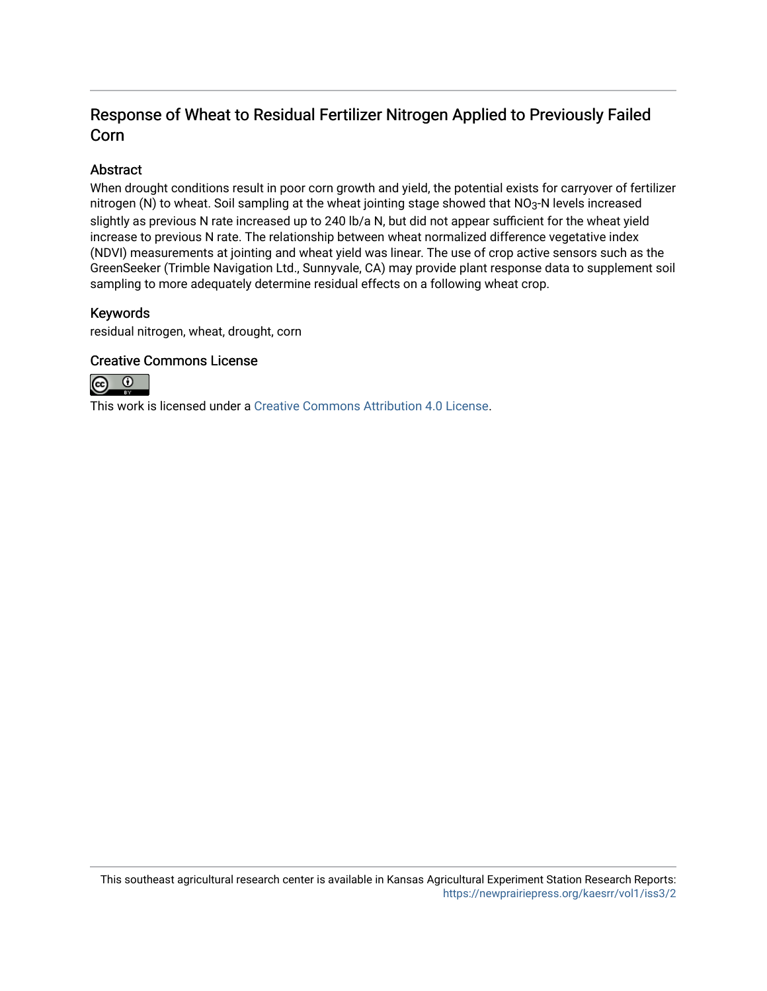## Response of Wheat to Residual Fertilizer Nitrogen Applied to Previously Failed Corn

#### Abstract

When drought conditions result in poor corn growth and yield, the potential exists for carryover of fertilizer nitrogen (N) to wheat. Soil sampling at the wheat jointing stage showed that NO<sub>3</sub>-N levels increased slightly as previous N rate increased up to 240 lb/a N, but did not appear sufficient for the wheat yield increase to previous N rate. The relationship between wheat normalized difference vegetative index (NDVI) measurements at jointing and wheat yield was linear. The use of crop active sensors such as the GreenSeeker (Trimble Navigation Ltd., Sunnyvale, CA) may provide plant response data to supplement soil sampling to more adequately determine residual effects on a following wheat crop.

#### Keywords

residual nitrogen, wheat, drought, corn

#### Creative Commons License



This work is licensed under a [Creative Commons Attribution 4.0 License](https://creativecommons.org/licenses/by/4.0/).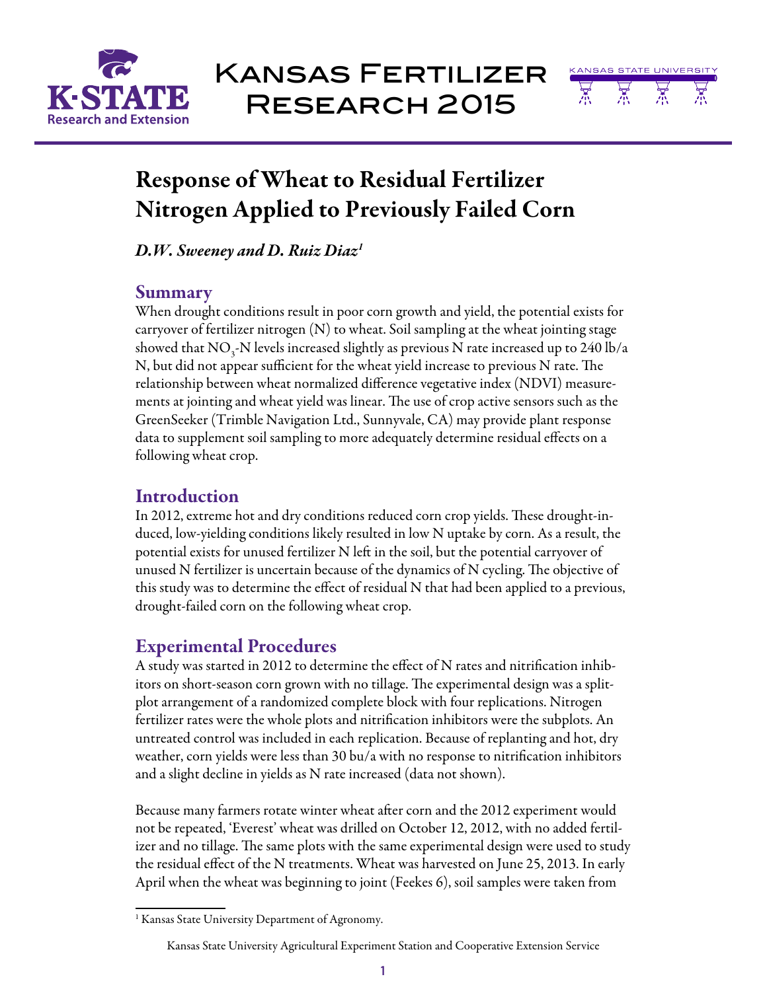



# Response of Wheat to Residual Fertilizer Nitrogen Applied to Previously Failed Corn

*D.W. Sweeney and D. Ruiz Diaz1*

### **Summary**

When drought conditions result in poor corn growth and yield, the potential exists for carryover of fertilizer nitrogen (N) to wheat. Soil sampling at the wheat jointing stage showed that  $\rm NO_3$ -N levels increased slightly as previous  $\rm N$  rate increased up to 240 lb/a N, but did not appear sufficient for the wheat yield increase to previous N rate. The relationship between wheat normalized difference vegetative index (NDVI) measurements at jointing and wheat yield was linear. The use of crop active sensors such as the GreenSeeker (Trimble Navigation Ltd., Sunnyvale, CA) may provide plant response data to supplement soil sampling to more adequately determine residual effects on a following wheat crop.

## **Introduction**

In 2012, extreme hot and dry conditions reduced corn crop yields. These drought-induced, low-yielding conditions likely resulted in low N uptake by corn. As a result, the potential exists for unused fertilizer N left in the soil, but the potential carryover of unused N fertilizer is uncertain because of the dynamics of N cycling. The objective of this study was to determine the effect of residual N that had been applied to a previous, drought-failed corn on the following wheat crop.

## Experimental Procedures

A study was started in 2012 to determine the effect of N rates and nitrification inhibitors on short-season corn grown with no tillage. The experimental design was a splitplot arrangement of a randomized complete block with four replications. Nitrogen fertilizer rates were the whole plots and nitrification inhibitors were the subplots. An untreated control was included in each replication. Because of replanting and hot, dry weather, corn yields were less than 30 bu/a with no response to nitrification inhibitors and a slight decline in yields as N rate increased (data not shown).

Because many farmers rotate winter wheat after corn and the 2012 experiment would not be repeated, 'Everest' wheat was drilled on October 12, 2012, with no added fertilizer and no tillage. The same plots with the same experimental design were used to study the residual effect of the N treatments. Wheat was harvested on June 25, 2013. In early April when the wheat was beginning to joint (Feekes 6), soil samples were taken from

<sup>&</sup>lt;sup>1</sup> Kansas State University Department of Agronomy.

Kansas State University Agricultural Experiment Station and Cooperative Extension Service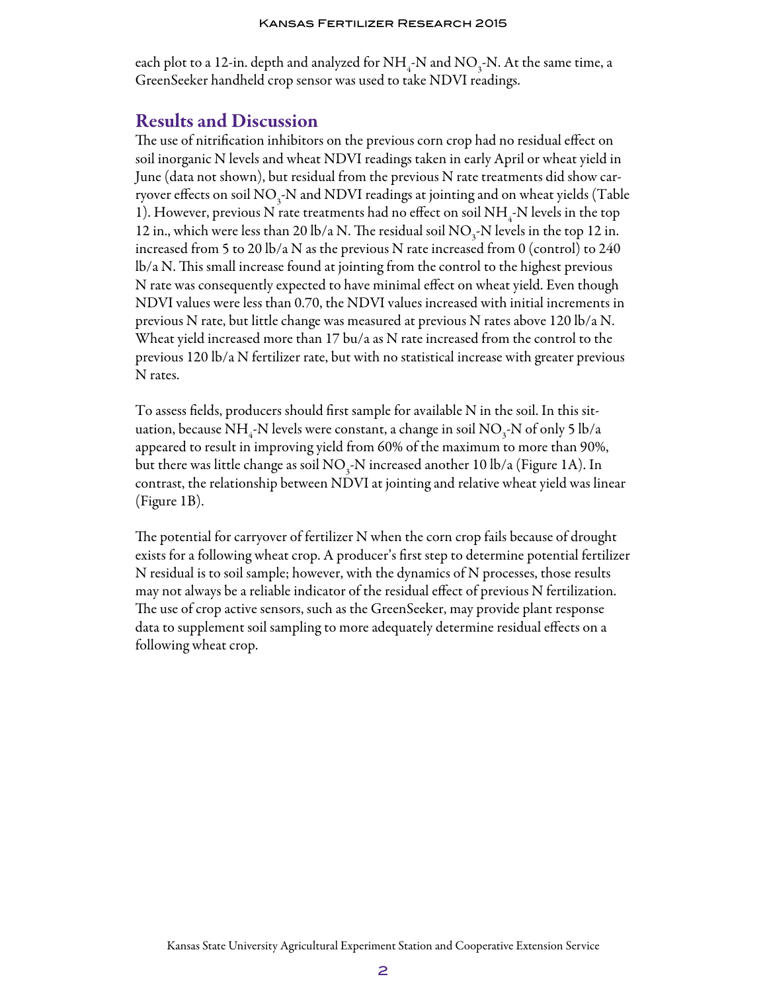each plot to a 12-in. depth and analyzed for  $\mathrm{NH}_4$ -N and  $\mathrm{NO}_3$ -N. At the same time, a GreenSeeker handheld crop sensor was used to take NDVI readings.

### Results and Discussion

The use of nitrification inhibitors on the previous corn crop had no residual effect on soil inorganic N levels and wheat NDVI readings taken in early April or wheat yield in June (data not shown), but residual from the previous N rate treatments did show carryover effects on soil  $\mathrm{NO}_3$ -N and  $\mathrm{NDVI}$  readings at jointing and on wheat yields (Table 1). However, previous N rate treatments had no effect on soil  $\mathrm{NH}_4$ -N levels in the top 12 in., which were less than 20 lb/a N. The residual soil  $NO_3$ -N levels in the top 12 in. increased from 5 to 20 lb/a N as the previous N rate increased from 0 (control) to 240 lb/a N. This small increase found at jointing from the control to the highest previous N rate was consequently expected to have minimal effect on wheat yield. Even though NDVI values were less than 0.70, the NDVI values increased with initial increments in previous N rate, but little change was measured at previous N rates above 120 lb/a N. Wheat yield increased more than 17 bu/a as N rate increased from the control to the previous 120 lb/a N fertilizer rate, but with no statistical increase with greater previous N rates.

To assess fields, producers should first sample for available N in the soil. In this situation, because NH<sub>4</sub>-N levels were constant, a change in soil NO<sub>3</sub>-N of only 5 lb/a appeared to result in improving yield from 60% of the maximum to more than 90%, but there was little change as soil  $\rm NO_3\text{-}N$  increased another 10 lb/a (Figure 1A). In contrast, the relationship between NDVI at jointing and relative wheat yield was linear (Figure 1B).

The potential for carryover of fertilizer N when the corn crop fails because of drought exists for a following wheat crop. A producer's first step to determine potential fertilizer N residual is to soil sample; however, with the dynamics of N processes, those results may not always be a reliable indicator of the residual effect of previous N fertilization. The use of crop active sensors, such as the GreenSeeker, may provide plant response data to supplement soil sampling to more adequately determine residual effects on a following wheat crop.